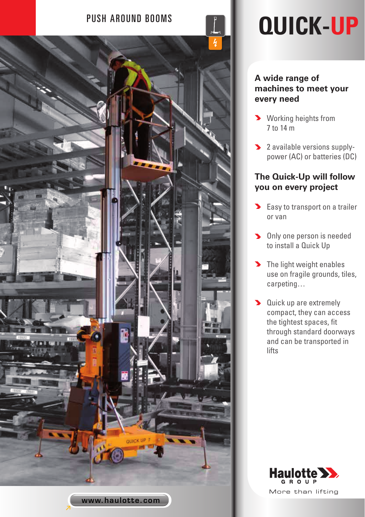

# PUSH AROUND BOOMS **QUICK-UP**

## **A wide range of machines to meet your every need**

- **>** Working heights from 7 to 14 m
- 2 available versions supplypower (AC) or batteries (DC)

## **The Quick-Up will follow you on every project**

- **Easy to transport on a trailer** or van
- **Diany one person is needed** to install a Quick Up
- The light weight enables use on fragile grounds, tiles, carpeting…
- **Duick up are extremely** compact, they can access the tightest spaces, fit through standard doorways and can be transported in lifts